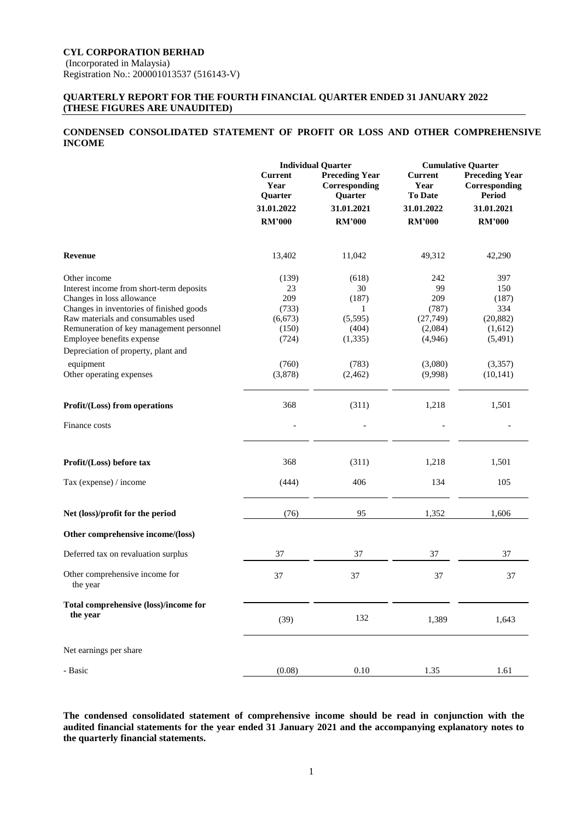## **QUARTERLY REPORT FOR THE FOURTH FINANCIAL QUARTER ENDED 31 JANUARY 2022 (THESE FIGURES ARE UNAUDITED)**

# **CONDENSED CONSOLIDATED STATEMENT OF PROFIT OR LOSS AND OTHER COMPREHENSIVE INCOME**

|                                                                                | <b>Individual Quarter</b>         |                                                   | <b>Cumulative Quarter</b>                |                                                         |  |
|--------------------------------------------------------------------------------|-----------------------------------|---------------------------------------------------|------------------------------------------|---------------------------------------------------------|--|
|                                                                                | <b>Current</b><br>Year<br>Quarter | <b>Preceding Year</b><br>Corresponding<br>Quarter | <b>Current</b><br>Year<br><b>To Date</b> | <b>Preceding Year</b><br>Corresponding<br><b>Period</b> |  |
|                                                                                | 31.01.2022                        | 31.01.2021                                        | 31.01.2022                               | 31.01.2021                                              |  |
|                                                                                | <b>RM'000</b>                     | <b>RM'000</b>                                     | <b>RM'000</b>                            | <b>RM'000</b>                                           |  |
| Revenue                                                                        | 13,402                            | 11,042                                            | 49,312                                   | 42,290                                                  |  |
| Other income<br>Interest income from short-term deposits                       | (139)<br>23                       | (618)<br>30                                       | 242<br>99                                | 397<br>150                                              |  |
| Changes in loss allowance                                                      | 209                               | (187)                                             | 209                                      | (187)                                                   |  |
| Changes in inventories of finished goods                                       | (733)                             | 1                                                 | (787)                                    | 334                                                     |  |
| Raw materials and consumables used<br>Remuneration of key management personnel | (6,673)<br>(150)                  | (5,595)<br>(404)                                  | (27,749)<br>(2,084)                      | (20, 882)<br>(1,612)                                    |  |
| Employee benefits expense                                                      | (724)                             | (1, 335)                                          | (4,946)                                  | (5, 491)                                                |  |
| Depreciation of property, plant and                                            |                                   |                                                   |                                          |                                                         |  |
| equipment                                                                      | (760)                             | (783)                                             | (3,080)                                  | (3,357)                                                 |  |
| Other operating expenses                                                       | (3,878)                           | (2, 462)                                          | (9,998)                                  | (10, 141)                                               |  |
| Profit/(Loss) from operations                                                  | 368                               | (311)                                             | 1,218                                    | 1,501                                                   |  |
| Finance costs                                                                  |                                   |                                                   |                                          |                                                         |  |
| Profit/(Loss) before tax                                                       | 368                               | (311)                                             | 1,218                                    | 1,501                                                   |  |
|                                                                                |                                   |                                                   |                                          |                                                         |  |
| Tax (expense) / income                                                         | (444)                             | 406                                               | 134                                      | 105                                                     |  |
| Net (loss)/profit for the period                                               | (76)                              | 95                                                | 1,352                                    | 1,606                                                   |  |
| Other comprehensive income/(loss)                                              |                                   |                                                   |                                          |                                                         |  |
| Deferred tax on revaluation surplus                                            | 37                                | 37                                                | 37                                       | 37                                                      |  |
| Other comprehensive income for<br>the year                                     | 37                                | 37                                                | 37                                       | 37                                                      |  |
| Total comprehensive (loss)/income for                                          |                                   |                                                   |                                          |                                                         |  |
| the year                                                                       | (39)                              | 132                                               | 1,389                                    | 1,643                                                   |  |
| Net earnings per share                                                         |                                   |                                                   |                                          |                                                         |  |
| - Basic                                                                        | (0.08)                            | 0.10                                              | 1.35                                     | 1.61                                                    |  |

**The condensed consolidated statement of comprehensive income should be read in conjunction with the audited financial statements for the year ended 31 January 2021 and the accompanying explanatory notes to the quarterly financial statements.**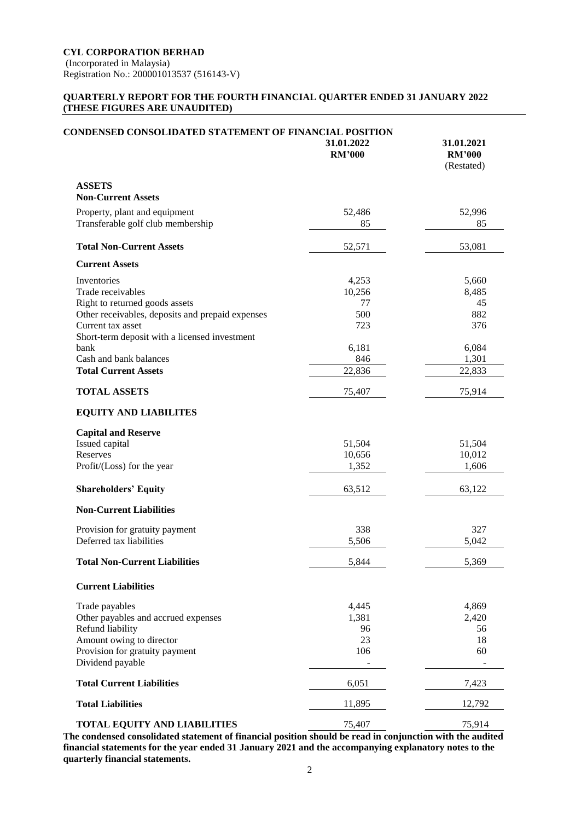## **QUARTERLY REPORT FOR THE FOURTH FINANCIAL QUARTER ENDED 31 JANUARY 2022 (THESE FIGURES ARE UNAUDITED)**

| <b>CONDENSED CONSOLIDATED STATEMENT OF FINANCIAL POSITION</b>      | 31.01.2022<br><b>RM'000</b> | 31.01.2021<br><b>RM'000</b><br>(Restated) |
|--------------------------------------------------------------------|-----------------------------|-------------------------------------------|
| <b>ASSETS</b><br><b>Non-Current Assets</b>                         |                             |                                           |
| Property, plant and equipment<br>Transferable golf club membership | 52,486<br>85                | 52,996<br>85                              |
| <b>Total Non-Current Assets</b>                                    | 52,571                      | 53,081                                    |
| <b>Current Assets</b>                                              |                             |                                           |
| Inventories                                                        | 4,253                       | 5,660                                     |
| Trade receivables                                                  | 10,256                      | 8,485                                     |
| Right to returned goods assets                                     | 77                          | 45                                        |
| Other receivables, deposits and prepaid expenses                   | 500                         | 882                                       |
| Current tax asset                                                  | 723                         | 376                                       |
| Short-term deposit with a licensed investment                      |                             |                                           |
| bank                                                               | 6,181                       | 6,084                                     |
| Cash and bank balances                                             | 846                         | 1,301                                     |
| <b>Total Current Assets</b>                                        | 22,836                      | 22,833                                    |
| <b>TOTAL ASSETS</b>                                                | 75,407                      | 75,914                                    |
| <b>EQUITY AND LIABILITES</b>                                       |                             |                                           |
| <b>Capital and Reserve</b>                                         |                             |                                           |
| Issued capital                                                     | 51,504                      | 51,504                                    |
| Reserves                                                           | 10,656                      | 10,012                                    |
| Profit/(Loss) for the year                                         | 1,352                       | 1,606                                     |
| <b>Shareholders' Equity</b>                                        | 63,512                      | 63,122                                    |
| <b>Non-Current Liabilities</b>                                     |                             |                                           |
| Provision for gratuity payment                                     | 338                         | 327                                       |
| Deferred tax liabilities                                           | 5,506                       | 5,042                                     |
| <b>Total Non-Current Liabilities</b>                               | 5,844                       | 5,369                                     |
| <b>Current Liabilities</b>                                         |                             |                                           |
| Trade payables                                                     | 4,445                       | 4,869                                     |
| Other payables and accrued expenses                                | 1,381                       | 2,420                                     |
| Refund liability                                                   | 96                          | 56                                        |
| Amount owing to director                                           | 23                          | 18                                        |
| Provision for gratuity payment<br>Dividend payable                 | 106                         | 60                                        |
| <b>Total Current Liabilities</b>                                   | 6,051                       | 7,423                                     |
| <b>Total Liabilities</b>                                           | 11,895                      | 12,792                                    |
| <b>TOTAL EQUITY AND LIABILITIES</b>                                | 75,407                      | 75,914                                    |
|                                                                    |                             |                                           |

**The condensed consolidated statement of financial position should be read in conjunction with the audited financial statements for the year ended 31 January 2021 and the accompanying explanatory notes to the quarterly financial statements.**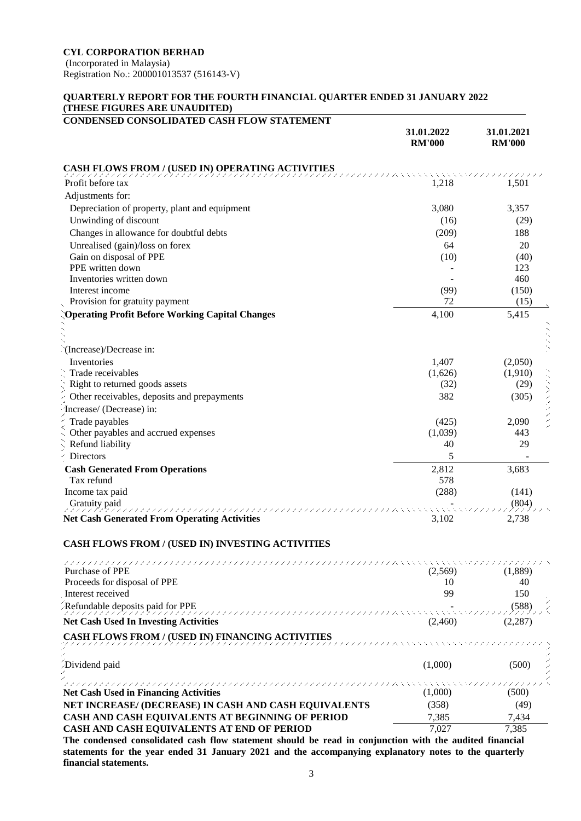**CYL CORPORATION BERHAD**

(Incorporated in Malaysia) Registration No.: 200001013537 (516143-V)

# **QUARTERLY REPORT FOR THE FOURTH FINANCIAL QUARTER ENDED 31 JANUARY 2022 (THESE FIGURES ARE UNAUDITED)**

| <b>CONDENSED CONSOLIDATED CASH FLOW STATEMENT</b>                                                       | 31.01.2022<br><b>RM'000</b> | 31.01.2021<br><b>RM'000</b> |
|---------------------------------------------------------------------------------------------------------|-----------------------------|-----------------------------|
| CASH FLOWS FROM / (USED IN) OPERATING ACTIVITIES                                                        |                             |                             |
| Profit before tax                                                                                       | 1,218                       | 1.501                       |
| Adjustments for:                                                                                        |                             |                             |
| Depreciation of property, plant and equipment                                                           | 3,080                       | 3,357                       |
| Unwinding of discount                                                                                   | (16)                        | (29)                        |
| Changes in allowance for doubtful debts                                                                 | (209)                       | 188                         |
|                                                                                                         | 64                          | 20                          |
| Unrealised (gain)/loss on forex<br>Gain on disposal of PPE                                              | (10)                        | (40)                        |
| PPE written down                                                                                        |                             | 123                         |
| Inventories written down                                                                                |                             | 460                         |
| Interest income                                                                                         | (99)                        | (150)                       |
| Provision for gratuity payment                                                                          | 72                          | (15)                        |
| <b>Operating Profit Before Working Capital Changes</b>                                                  | 4,100                       | 5,415                       |
|                                                                                                         |                             |                             |
| (Increase)/Decrease in:                                                                                 |                             |                             |
| Inventories                                                                                             | 1,407                       | (2,050)                     |
| Trade receivables                                                                                       | (1,626)                     | (1,910)                     |
| Right to returned goods assets                                                                          | (32)                        | (29)                        |
| Other receivables, deposits and prepayments                                                             | 382                         | (305)                       |
| Increase/ (Decrease) in:                                                                                |                             |                             |
| Trade payables                                                                                          | (425)                       | 2,090                       |
| Other payables and accrued expenses                                                                     | (1,039)                     | 443                         |
| Refund liability                                                                                        | 40                          | 29                          |
| Directors                                                                                               | 5                           |                             |
|                                                                                                         | 2,812                       | 3,683                       |
| <b>Cash Generated From Operations</b><br>Tax refund                                                     | 578                         |                             |
| Income tax paid                                                                                         | (288)                       | (141)                       |
| Gratuity paid                                                                                           |                             | (804)                       |
| <b>Net Cash Generated From Operating Activities</b>                                                     | 3,102                       | 2,738                       |
| <b>CASH FLOWS FROM / (USED IN) INVESTING ACTIVITIES</b>                                                 |                             |                             |
| ////////////////////////////                                                                            |                             | テテテテテ                       |
| Purchase of PPE                                                                                         | (2,569)                     | (1,889)                     |
| Proceeds for disposal of PPE                                                                            | 10                          | 40                          |
| Interest received                                                                                       | 99                          | 150                         |
| Refundable deposits paid for PPE                                                                        |                             | (588)                       |
| <b>Net Cash Used In Investing Activities</b>                                                            | (2,460)                     | (2, 287)                    |
| <b>CASH FLOWS FROM / (USED IN) FINANCING ACTIVITIES</b>                                                 |                             |                             |
| Dividend paid                                                                                           | (1,000)                     | (500)                       |
|                                                                                                         |                             |                             |
| <b>Net Cash Used in Financing Activities</b>                                                            | (1,000)                     | (500)                       |
| NET INCREASE/ (DECREASE) IN CASH AND CASH EQUIVALENTS                                                   | (358)                       | (49)                        |
| CASH AND CASH EQUIVALENTS AT BEGINNING OF PERIOD                                                        | 7,385                       | 7,434                       |
| CASH AND CASH EQUIVALENTS AT END OF PERIOD                                                              | 7,027                       | 7,385                       |
| The condensed consolidated cash flow statement should be read in conjunction with the audited financial |                             |                             |

**statements for the year ended 31 January 2021 and the accompanying explanatory notes to the quarterly financial statements.**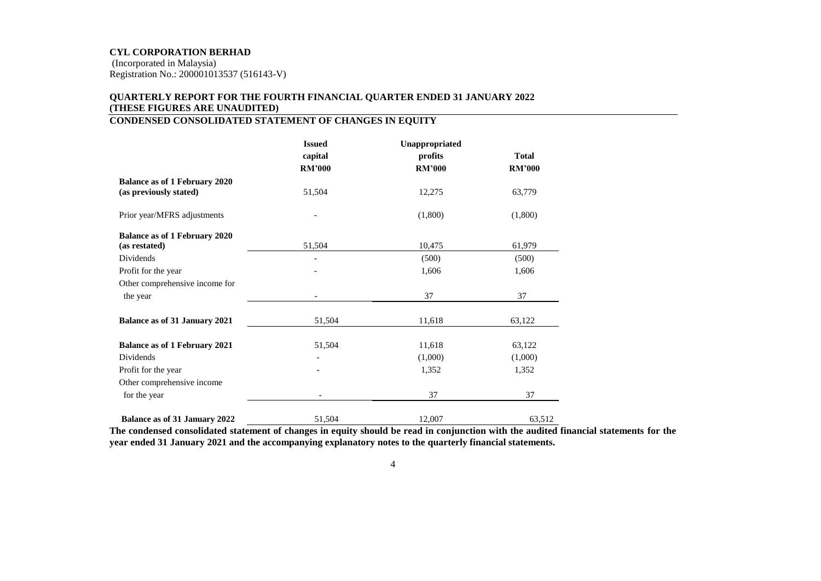# **QUARTERLY REPORT FOR THE FOURTH FINANCIAL QUARTER ENDED 31 JANUARY 2022 (THESE FIGURES ARE UNAUDITED)**

# **CONDENSED CONSOLIDATED STATEMENT OF CHANGES IN EQUITY**

|                                      | <b>Issued</b> | Unappropriated |               |
|--------------------------------------|---------------|----------------|---------------|
|                                      | capital       | profits        | <b>Total</b>  |
|                                      | <b>RM'000</b> | <b>RM'000</b>  | <b>RM'000</b> |
| <b>Balance as of 1 February 2020</b> |               |                |               |
| (as previously stated)               | 51,504        | 12,275         | 63,779        |
| Prior year/MFRS adjustments          |               | (1,800)        | (1,800)       |
| <b>Balance as of 1 February 2020</b> |               |                |               |
| (as restated)                        | 51,504        | 10,475         | 61,979        |
| Dividends                            |               | (500)          | (500)         |
| Profit for the year                  |               | 1,606          | 1,606         |
| Other comprehensive income for       |               |                |               |
| the year                             |               | 37             | 37            |
| <b>Balance as of 31 January 2021</b> | 51,504        | 11,618         | 63,122        |
| <b>Balance as of 1 February 2021</b> | 51,504        | 11,618         | 63,122        |
| Dividends                            |               | (1,000)        | (1,000)       |
| Profit for the year                  |               | 1,352          | 1,352         |
| Other comprehensive income           |               |                |               |
| for the year                         |               | 37             | 37            |
| <b>Balance as of 31 January 2022</b> | 51,504        | 12,007         | 63,512        |

**The condensed consolidated statement of changes in equity should be read in conjunction with the audited financial statements for the year ended 31 January 2021 and the accompanying explanatory notes to the quarterly financial statements.**

4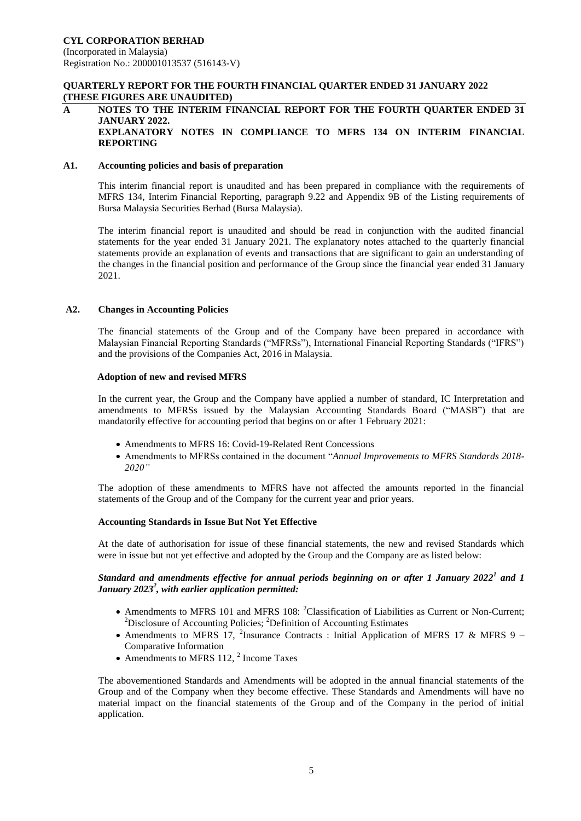### **QUARTERLY REPORT FOR THE FOURTH FINANCIAL QUARTER ENDED 31 JANUARY 2022 (THESE FIGURES ARE UNAUDITED)**

#### **A NOTES TO THE INTERIM FINANCIAL REPORT FOR THE FOURTH QUARTER ENDED 31 JANUARY 2022. EXPLANATORY NOTES IN COMPLIANCE TO MFRS 134 ON INTERIM FINANCIAL REPORTING**

### **A1. Accounting policies and basis of preparation**

This interim financial report is unaudited and has been prepared in compliance with the requirements of MFRS 134, Interim Financial Reporting, paragraph 9.22 and Appendix 9B of the Listing requirements of Bursa Malaysia Securities Berhad (Bursa Malaysia).

The interim financial report is unaudited and should be read in conjunction with the audited financial statements for the year ended 31 January 2021. The explanatory notes attached to the quarterly financial statements provide an explanation of events and transactions that are significant to gain an understanding of the changes in the financial position and performance of the Group since the financial year ended 31 January 2021.

### **A2. Changes in Accounting Policies**

The financial statements of the Group and of the Company have been prepared in accordance with Malaysian Financial Reporting Standards ("MFRSs"), International Financial Reporting Standards ("IFRS") and the provisions of the Companies Act, 2016 in Malaysia.

#### **Adoption of new and revised MFRS**

In the current year, the Group and the Company have applied a number of standard, IC Interpretation and amendments to MFRSs issued by the Malaysian Accounting Standards Board ("MASB") that are mandatorily effective for accounting period that begins on or after 1 February 2021:

- Amendments to MFRS 16: Covid-19-Related Rent Concessions
- Amendments to MFRSs contained in the document "*Annual Improvements to MFRS Standards 2018- 2020"*

The adoption of these amendments to MFRS have not affected the amounts reported in the financial statements of the Group and of the Company for the current year and prior years.

#### **Accounting Standards in Issue But Not Yet Effective**

At the date of authorisation for issue of these financial statements, the new and revised Standards which were in issue but not yet effective and adopted by the Group and the Company are as listed below:

## *Standard and amendments effective for annual periods beginning on or after 1 January 2022<sup>1</sup> and 1 January 2023<sup>2</sup> , with earlier application permitted:*

- Amendments to MFRS 101 and MFRS 108:  ${}^{2}$ Classification of Liabilities as Current or Non-Current; <sup>2</sup>Disclosure of Accounting Policies; <sup>2</sup>Definition of Accounting Estimates
- Amendments to MFRS 17, <sup>2</sup>Insurance Contracts : Initial Application of MFRS 17 & MFRS 9 Comparative Information
- Amendments to MFRS 112,  $2$  Income Taxes

The abovementioned Standards and Amendments will be adopted in the annual financial statements of the Group and of the Company when they become effective. These Standards and Amendments will have no material impact on the financial statements of the Group and of the Company in the period of initial application.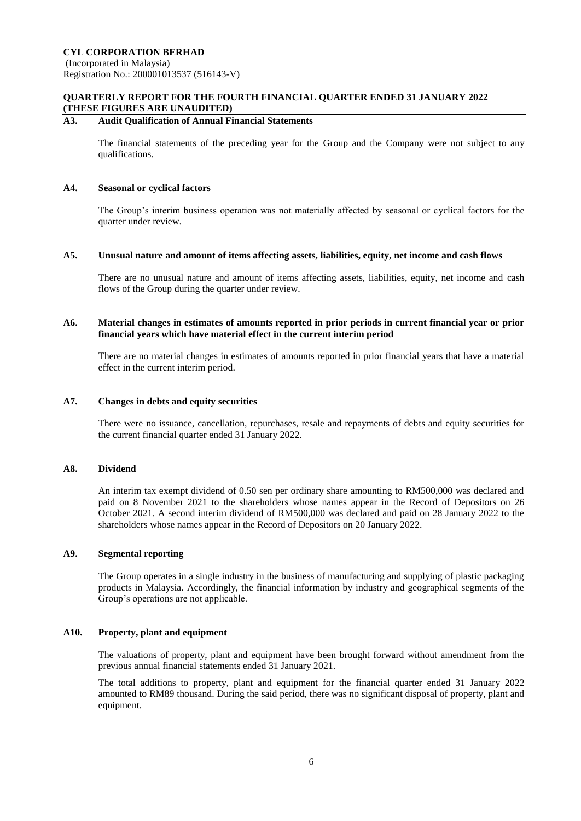**CYL CORPORATION BERHAD**

(Incorporated in Malaysia) Registration No.: 200001013537 (516143-V)

## **QUARTERLY REPORT FOR THE FOURTH FINANCIAL QUARTER ENDED 31 JANUARY 2022 (THESE FIGURES ARE UNAUDITED)**

### **A3. Audit Qualification of Annual Financial Statements**

The financial statements of the preceding year for the Group and the Company were not subject to any qualifications.

#### **A4. Seasonal or cyclical factors**

The Group's interim business operation was not materially affected by seasonal or cyclical factors for the quarter under review.

#### **A5. Unusual nature and amount of items affecting assets, liabilities, equity, net income and cash flows**

There are no unusual nature and amount of items affecting assets, liabilities, equity, net income and cash flows of the Group during the quarter under review.

### **A6. Material changes in estimates of amounts reported in prior periods in current financial year or prior financial years which have material effect in the current interim period**

There are no material changes in estimates of amounts reported in prior financial years that have a material effect in the current interim period.

#### **A7. Changes in debts and equity securities**

There were no issuance, cancellation, repurchases, resale and repayments of debts and equity securities for the current financial quarter ended 31 January 2022.

### **A8. Dividend**

An interim tax exempt dividend of 0.50 sen per ordinary share amounting to RM500,000 was declared and paid on 8 November 2021 to the shareholders whose names appear in the Record of Depositors on 26 October 2021. A second interim dividend of RM500,000 was declared and paid on 28 January 2022 to the shareholders whose names appear in the Record of Depositors on 20 January 2022.

## **A9. Segmental reporting**

The Group operates in a single industry in the business of manufacturing and supplying of plastic packaging products in Malaysia. Accordingly, the financial information by industry and geographical segments of the Group's operations are not applicable.

### **A10. Property, plant and equipment**

The valuations of property, plant and equipment have been brought forward without amendment from the previous annual financial statements ended 31 January 2021.

The total additions to property, plant and equipment for the financial quarter ended 31 January 2022 amounted to RM89 thousand. During the said period, there was no significant disposal of property, plant and equipment.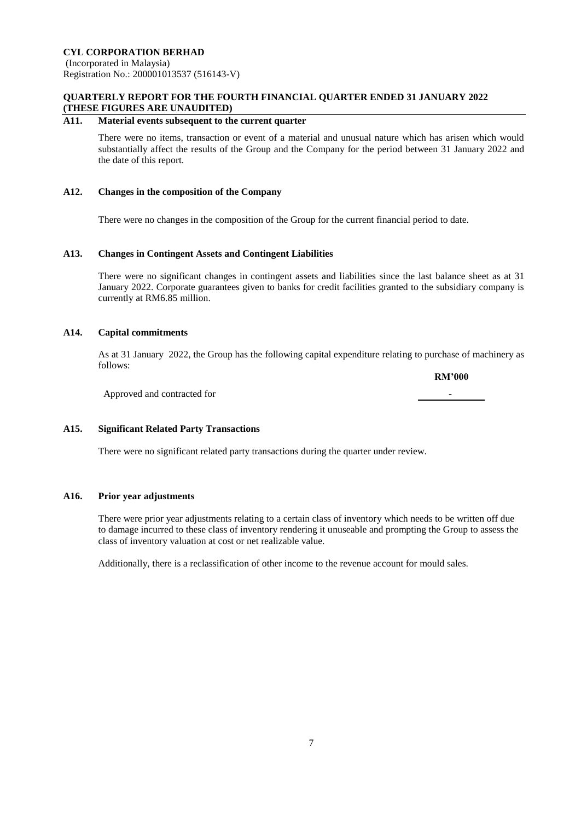## **QUARTERLY REPORT FOR THE FOURTH FINANCIAL QUARTER ENDED 31 JANUARY 2022 (THESE FIGURES ARE UNAUDITED)**

### **A11. Material events subsequent to the current quarter**

There were no items, transaction or event of a material and unusual nature which has arisen which would substantially affect the results of the Group and the Company for the period between 31 January 2022 and the date of this report.

### **A12. Changes in the composition of the Company**

There were no changes in the composition of the Group for the current financial period to date.

### **A13. Changes in Contingent Assets and Contingent Liabilities**

There were no significant changes in contingent assets and liabilities since the last balance sheet as at 31 January 2022. Corporate guarantees given to banks for credit facilities granted to the subsidiary company is currently at RM6.85 million.

## **A14. Capital commitments**

As at 31 January 2022, the Group has the following capital expenditure relating to purchase of machinery as follows:

**RM'000**

Approved and contracted for -

### **A15. Significant Related Party Transactions**

There were no significant related party transactions during the quarter under review.

### **A16. Prior year adjustments**

There were prior year adjustments relating to a certain class of inventory which needs to be written off due to damage incurred to these class of inventory rendering it unuseable and prompting the Group to assess the class of inventory valuation at cost or net realizable value.

Additionally, there is a reclassification of other income to the revenue account for mould sales.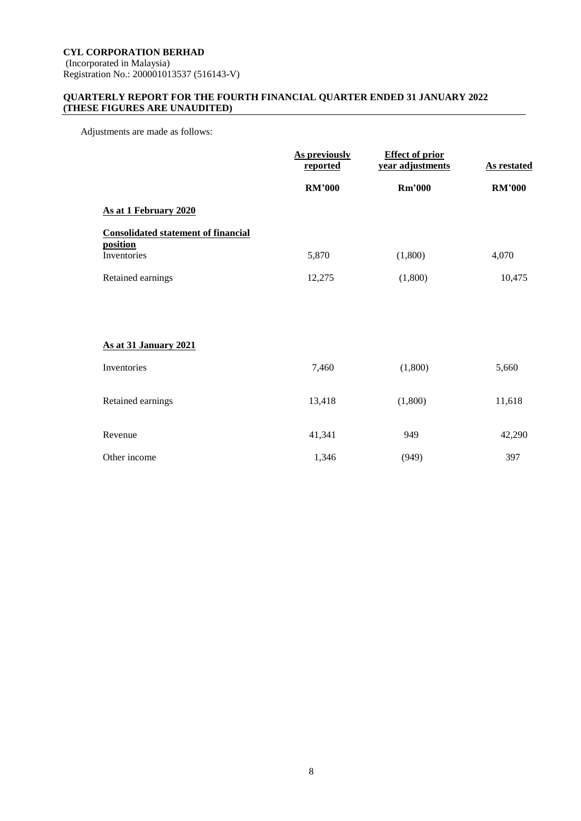## **QUARTERLY REPORT FOR THE FOURTH FINANCIAL QUARTER ENDED 31 JANUARY 2022 (THESE FIGURES ARE UNAUDITED)**

Adjustments are made as follows:

| As previously<br><u>reported</u> | <b>Effect of prior</b><br>year adjustments | <b>As restated</b> |
|----------------------------------|--------------------------------------------|--------------------|
| <b>RM'000</b>                    | <b>Rm'000</b>                              | <b>RM'000</b>      |
|                                  |                                            |                    |
|                                  |                                            |                    |
| 5,870                            | (1,800)                                    | 4,070              |
| 12,275                           | (1,800)                                    | 10,475             |
|                                  |                                            |                    |
|                                  |                                            |                    |
|                                  |                                            |                    |
| 7,460                            | (1,800)                                    | 5,660              |
|                                  |                                            |                    |
|                                  |                                            | 11,618             |
| 41,341                           | 949                                        | 42,290             |
|                                  |                                            | 397                |
|                                  | 13,418<br>1,346                            | (1,800)<br>(949)   |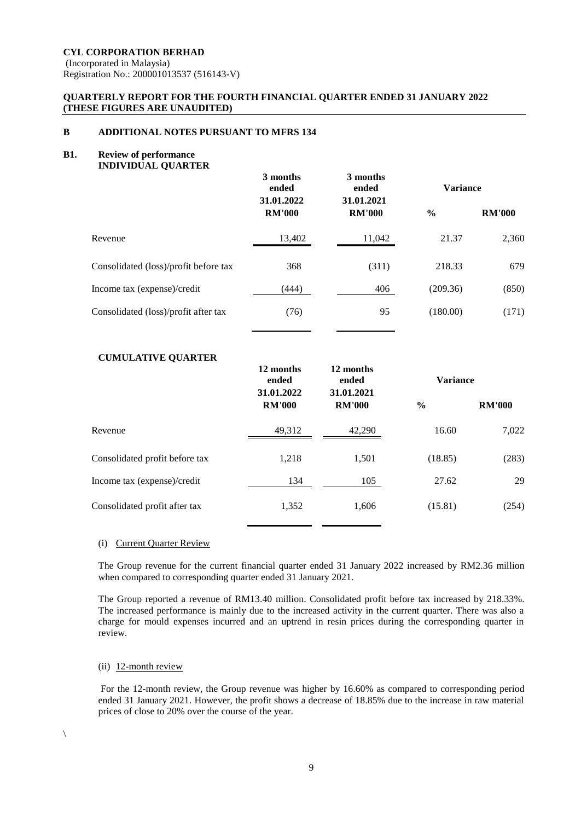Registration No.: 200001013537 (516143-V)

## **QUARTERLY REPORT FOR THE FOURTH FINANCIAL QUARTER ENDED 31 JANUARY 2022 (THESE FIGURES ARE UNAUDITED)**

## **B ADDITIONAL NOTES PURSUANT TO MFRS 134**

#### **B1. Review of performance INDIVIDUAL QUARTER**

| $\ldots$                              | 3 months<br>ended<br>31.01.2022 | 3 months<br>ended<br>31.01.2021 | <b>Variance</b> |               |  |
|---------------------------------------|---------------------------------|---------------------------------|-----------------|---------------|--|
|                                       | <b>RM'000</b>                   | <b>RM'000</b>                   | $\frac{0}{0}$   | <b>RM'000</b> |  |
| Revenue                               | 13,402                          | 11,042                          | 21.37           | 2,360         |  |
| Consolidated (loss)/profit before tax | 368                             | (311)                           | 218.33          | 679           |  |
| Income tax (expense)/credit           | (444)                           | 406                             | (209.36)        | (850)         |  |
| Consolidated (loss)/profit after tax  | (76)                            | 95                              | (180.00)        | (171)         |  |

## **CUMULATIVE QUARTER**

|                                | 12 months<br>ended | 12 months<br>ended<br>31.01.2022<br>31.01.2021 |               | <b>Variance</b> |  |  |
|--------------------------------|--------------------|------------------------------------------------|---------------|-----------------|--|--|
|                                | <b>RM'000</b>      | <b>RM'000</b>                                  | $\frac{6}{9}$ | <b>RM'000</b>   |  |  |
| Revenue                        | 49,312             | 42,290                                         | 16.60         | 7,022           |  |  |
| Consolidated profit before tax | 1,218              | 1,501                                          | (18.85)       | (283)           |  |  |
| Income tax (expense)/credit    | 134                | 105                                            | 27.62         | 29              |  |  |
| Consolidated profit after tax  | 1,352              | 1,606                                          | (15.81)       | (254)           |  |  |

### (i) Current Quarter Review

The Group revenue for the current financial quarter ended 31 January 2022 increased by RM2.36 million when compared to corresponding quarter ended 31 January 2021.

The Group reported a revenue of RM13.40 million. Consolidated profit before tax increased by 218.33%. The increased performance is mainly due to the increased activity in the current quarter. There was also a charge for mould expenses incurred and an uptrend in resin prices during the corresponding quarter in review.

## (ii) 12-month review

For the 12-month review, the Group revenue was higher by 16.60% as compared to corresponding period ended 31 January 2021. However, the profit shows a decrease of 18.85% due to the increase in raw material prices of close to 20% over the course of the year.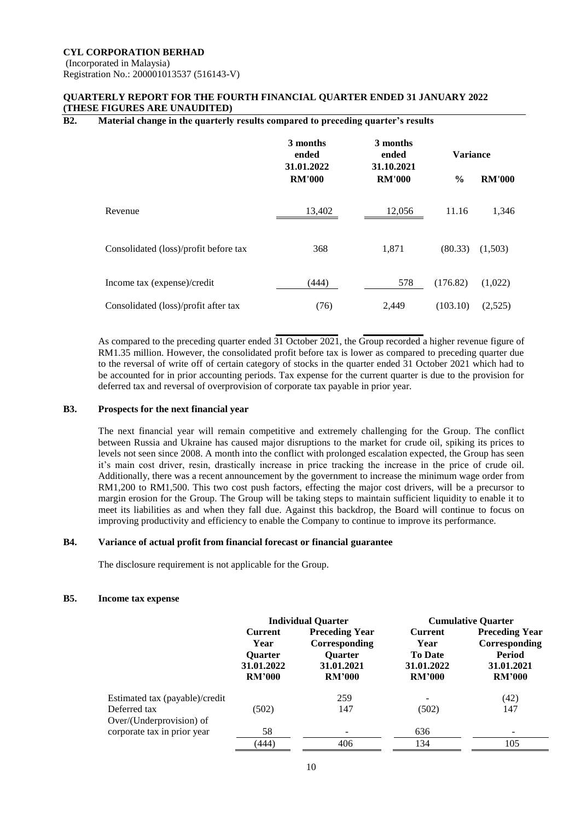## **QUARTERLY REPORT FOR THE FOURTH FINANCIAL QUARTER ENDED 31 JANUARY 2022 (THESE FIGURES ARE UNAUDITED)**

## **B2. Material change in the quarterly results compared to preceding quarter's results**

|                                       | 3 months<br>ended<br>31.01.2022 | 3 months<br>ended<br>31.10.2021 | <b>Variance</b> |               |
|---------------------------------------|---------------------------------|---------------------------------|-----------------|---------------|
|                                       | <b>RM'000</b>                   | <b>RM'000</b>                   | $\frac{6}{9}$   | <b>RM'000</b> |
| Revenue                               | 13,402                          | 12,056                          | 11.16           | 1,346         |
| Consolidated (loss)/profit before tax | 368                             | 1,871                           | (80.33)         | (1,503)       |
| Income tax (expense)/credit           | (444)                           | 578                             | (176.82)        | (1,022)       |
| Consolidated (loss)/profit after tax  | (76)                            | 2,449                           | (103.10)        | (2,525)       |

As compared to the preceding quarter ended  $\overline{31}$  October 2021, the Group recorded a higher revenue figure of RM1.35 million. However, the consolidated profit before tax is lower as compared to preceding quarter due to the reversal of write off of certain category of stocks in the quarter ended 31 October 2021 which had to be accounted for in prior accounting periods. Tax expense for the current quarter is due to the provision for deferred tax and reversal of overprovision of corporate tax payable in prior year.

#### **B3. Prospects for the next financial year**

The next financial year will remain competitive and extremely challenging for the Group. The conflict between Russia and Ukraine has caused major disruptions to the market for crude oil, spiking its prices to levels not seen since 2008. A month into the conflict with prolonged escalation expected, the Group has seen it's main cost driver, resin, drastically increase in price tracking the increase in the price of crude oil. Additionally, there was a recent announcement by the government to increase the minimum wage order from RM1,200 to RM1,500. This two cost push factors, effecting the major cost drivers, will be a precursor to margin erosion for the Group. The Group will be taking steps to maintain sufficient liquidity to enable it to meet its liabilities as and when they fall due. Against this backdrop, the Board will continue to focus on improving productivity and efficiency to enable the Company to continue to improve its performance.

#### **B4. Variance of actual profit from financial forecast or financial guarantee**

The disclosure requirement is not applicable for the Group.

#### **B5. Income tax expense**

|                                          | <b>Individual Quarter</b>                                               |                                                                                         |                                                                         | <b>Cumulative Quarter</b>                                                              |
|------------------------------------------|-------------------------------------------------------------------------|-----------------------------------------------------------------------------------------|-------------------------------------------------------------------------|----------------------------------------------------------------------------------------|
|                                          | <b>Current</b><br>Year<br><b>Ouarter</b><br>31.01.2022<br><b>RM'000</b> | <b>Preceding Year</b><br>Corresponding<br><b>Ouarter</b><br>31.01.2021<br><b>RM'000</b> | <b>Current</b><br>Year<br><b>To Date</b><br>31.01.2022<br><b>RM'000</b> | <b>Preceding Year</b><br>Corresponding<br><b>Period</b><br>31.01.2021<br><b>RM'000</b> |
| Estimated tax (payable)/credit           |                                                                         | 259                                                                                     | -                                                                       | (42)                                                                                   |
| Deferred tax<br>Over/(Underprovision) of | (502)                                                                   | 147                                                                                     | (502)                                                                   | 147                                                                                    |
| corporate tax in prior year              | 58                                                                      |                                                                                         | 636                                                                     |                                                                                        |
|                                          | (444)                                                                   | 406                                                                                     | 134                                                                     | 105                                                                                    |